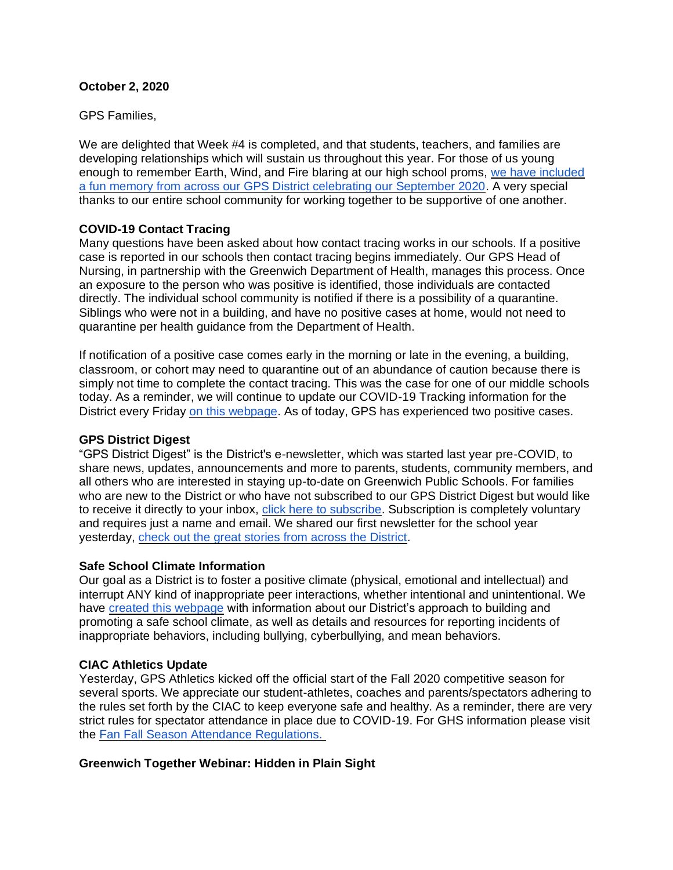### **October 2, 2020**

GPS Families,

We are delighted that Week #4 is completed, and that students, teachers, and families are developing relationships which will sustain us throughout this year. For those of us young enough to remember Earth, Wind, and Fire blaring at our high school proms, [we have included](https://www.facebook.com/1703243793304062/videos/340025477054533)  [a fun memory from across our GPS District celebrating our September 2020.](https://www.facebook.com/1703243793304062/videos/340025477054533) A very special thanks to our entire school community for working together to be supportive of one another.

# **COVID-19 Contact Tracing**

Many questions have been asked about how contact tracing works in our schools. If a positive case is reported in our schools then contact tracing begins immediately. Our GPS Head of Nursing, in partnership with the Greenwich Department of Health, manages this process. Once an exposure to the person who was positive is identified, those individuals are contacted directly. The individual school community is notified if there is a possibility of a quarantine. Siblings who were not in a building, and have no positive cases at home, would not need to quarantine per health guidance from the Department of Health.

If notification of a positive case comes early in the morning or late in the evening, a building, classroom, or cohort may need to quarantine out of an abundance of caution because there is simply not time to complete the contact tracing. This was the case for one of our middle schools today. As a reminder, we will continue to update our COVID-19 Tracking information for the District every Friday [on this webpage.](https://www.greenwichschools.org/teaching-learning/student-support-services/health-services/covid-19) As of today, GPS has experienced two positive cases.

### **GPS District Digest**

"GPS District Digest" is the District's e-newsletter, which was started last year pre-COVID, to share news, updates, announcements and more to parents, students, community members, and all others who are interested in staying up-to-date on Greenwich Public Schools. For families who are new to the District or who have not subscribed to our GPS District Digest but would like to receive it directly to your inbox, [click here to subscribe.](https://www.greenwichschools.org/departments/communications/district-digest-newsletter) Subscription is completely voluntary and requires just a name and email. We shared our first newsletter for the school year yesterday, [check out the great stories from across the District.](https://www.smore.com/shm7v)

#### **Safe School Climate Information**

Our goal as a District is to foster a positive climate (physical, emotional and intellectual) and interrupt ANY kind of inappropriate peer interactions, whether intentional and unintentional. We have [created this webpage](http://www.greenwichschools.org/teaching-learning/safe-school-climate) with information about our District's approach to building and promoting a safe school climate, as well as details and resources for reporting incidents of inappropriate behaviors, including bullying, cyberbullying, and mean behaviors.

# **CIAC Athletics Update**

Yesterday, GPS Athletics kicked off the official start of the Fall 2020 competitive season for several sports. We appreciate our student-athletes, coaches and parents/spectators adhering to the rules set forth by the CIAC to keep everyone safe and healthy. As a reminder, there are very strict rules for spectator attendance in place due to COVID-19. For GHS information please visit the [Fan Fall Season Attendance Regulations.](https://www.greenwichschools.org/greenwich-high-school/athletics/teams/fall-sports)

# **Greenwich Together Webinar: Hidden in Plain Sight**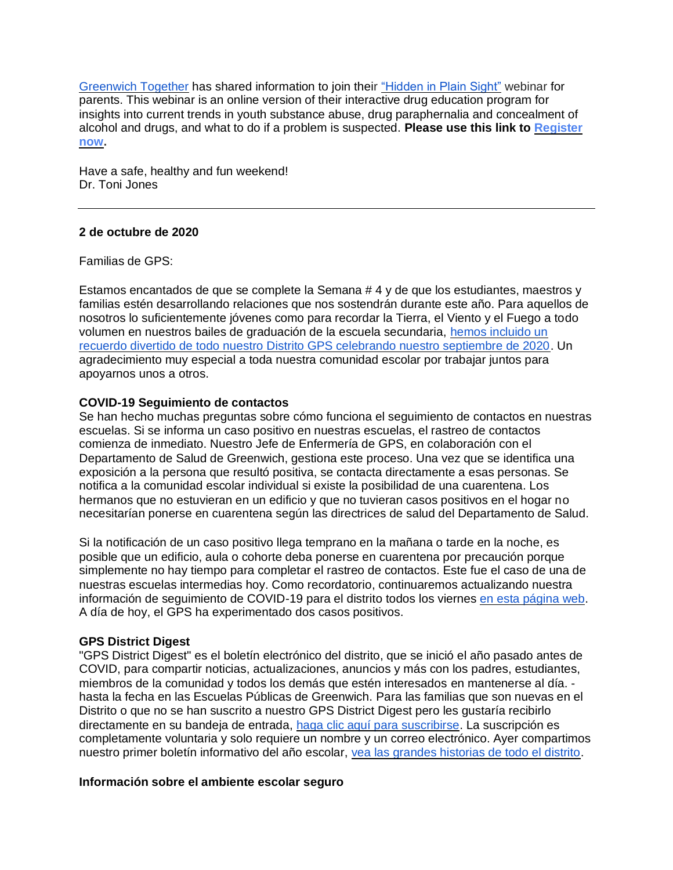[Greenwich Together](http://www.greenwichtogether.org/) has shared information to join their ["Hidden in Plain Sight"](https://www.greenwichtogether.org/events/hidden-in-plain-sight) webinar for parents. This webinar is an online version of their interactive drug education program for insights into current trends in youth substance abuse, drug paraphernalia and concealment of alcohol and drugs, and what to do if a problem is suspected. **Please use this link to [Register](https://docs.google.com/forms/d/e/1FAIpQLSfUSYH4eJbiWxU7Kj6LAiNnFG4e56saTCuSbwwbQW5P5XmVTA/viewform)  [now.](https://docs.google.com/forms/d/e/1FAIpQLSfUSYH4eJbiWxU7Kj6LAiNnFG4e56saTCuSbwwbQW5P5XmVTA/viewform)**

Have a safe, healthy and fun weekend! Dr. Toni Jones

#### **2 de octubre de 2020**

Familias de GPS:

Estamos encantados de que se complete la Semana # 4 y de que los estudiantes, maestros y familias estén desarrollando relaciones que nos sostendrán durante este año. Para aquellos de nosotros lo suficientemente jóvenes como para recordar la Tierra, el Viento y el Fuego a todo volumen en nuestros bailes de graduación de la escuela secundaria, [hemos incluido un](https://www.facebook.com/1703243793304062/videos/340025477054533)  [recuerdo divertido de todo nuestro Distrito GPS celebrando nuestro septiembre de 2020.](https://www.facebook.com/1703243793304062/videos/340025477054533) Un agradecimiento muy especial a toda nuestra comunidad escolar por trabajar juntos para apoyarnos unos a otros.

### **COVID-19 Seguimiento de contactos**

Se han hecho muchas preguntas sobre cómo funciona el seguimiento de contactos en nuestras escuelas. Si se informa un caso positivo en nuestras escuelas, el rastreo de contactos comienza de inmediato. Nuestro Jefe de Enfermería de GPS, en colaboración con el Departamento de Salud de Greenwich, gestiona este proceso. Una vez que se identifica una exposición a la persona que resultó positiva, se contacta directamente a esas personas. Se notifica a la comunidad escolar individual si existe la posibilidad de una cuarentena. Los hermanos que no estuvieran en un edificio y que no tuvieran casos positivos en el hogar no necesitarían ponerse en cuarentena según las directrices de salud del Departamento de Salud.

Si la notificación de un caso positivo llega temprano en la mañana o tarde en la noche, es posible que un edificio, aula o cohorte deba ponerse en cuarentena por precaución porque simplemente no hay tiempo para completar el rastreo de contactos. Este fue el caso de una de nuestras escuelas intermedias hoy. Como recordatorio, continuaremos actualizando nuestra información de seguimiento de COVID-19 para el distrito todos los viernes [en esta página web.](https://www.greenwichschools.org/teaching-learning/student-support-services/health-services/covid-19) A día de hoy, el GPS ha experimentado dos casos positivos.

# **GPS District Digest**

"GPS District Digest" es el boletín electrónico del distrito, que se inició el año pasado antes de COVID, para compartir noticias, actualizaciones, anuncios y más con los padres, estudiantes, miembros de la comunidad y todos los demás que estén interesados en mantenerse al día. hasta la fecha en las Escuelas Públicas de Greenwich. Para las familias que son nuevas en el Distrito o que no se han suscrito a nuestro GPS District Digest pero les gustaría recibirlo directamente en su bandeja de entrada, [haga clic aquí para suscribirse.](https://www.greenwichschools.org/departments/communications/district-digest-newsletter) La suscripción es completamente voluntaria y solo requiere un nombre y un correo electrónico. Ayer compartimos nuestro primer boletín informativo del año escolar, [vea las grandes historias de todo el distrito.](https://www.smore.com/shm7v)

#### **Información sobre el ambiente escolar seguro**